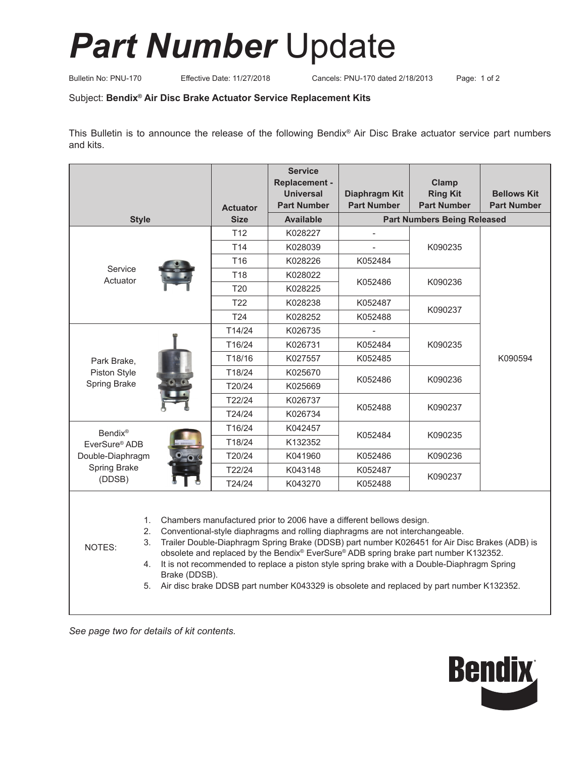## *Part Number* Update

Bulletin No: PNU-170 Effective Date: 11/27/2018 Cancels: PNU-170 dated 2/18/2013 Page: 1 of 2

## Subject: **Bendix® Air Disc Brake Actuator Service Replacement Kits**

This Bulletin is to announce the release of the following Bendix® Air Disc Brake actuator service part numbers and kits.

|                                             |                            |                                                                                                                                                                                                                                                                                                                                                                                                                                                                                                                                                            | <b>Service</b><br><b>Replacement -</b> |                                    | Clamp              |                    |  |
|---------------------------------------------|----------------------------|------------------------------------------------------------------------------------------------------------------------------------------------------------------------------------------------------------------------------------------------------------------------------------------------------------------------------------------------------------------------------------------------------------------------------------------------------------------------------------------------------------------------------------------------------------|----------------------------------------|------------------------------------|--------------------|--------------------|--|
|                                             |                            |                                                                                                                                                                                                                                                                                                                                                                                                                                                                                                                                                            | <b>Universal</b>                       | Diaphragm Kit                      | <b>Ring Kit</b>    | <b>Bellows Kit</b> |  |
|                                             |                            | <b>Actuator</b>                                                                                                                                                                                                                                                                                                                                                                                                                                                                                                                                            | <b>Part Number</b>                     | <b>Part Number</b>                 | <b>Part Number</b> | <b>Part Number</b> |  |
| <b>Style</b>                                |                            | <b>Size</b>                                                                                                                                                                                                                                                                                                                                                                                                                                                                                                                                                | <b>Available</b>                       | <b>Part Numbers Being Released</b> |                    |                    |  |
|                                             |                            | T <sub>12</sub>                                                                                                                                                                                                                                                                                                                                                                                                                                                                                                                                            | K028227                                |                                    | K090235            | K090594            |  |
|                                             |                            | T14                                                                                                                                                                                                                                                                                                                                                                                                                                                                                                                                                        | K028039                                |                                    |                    |                    |  |
| Service<br>Actuator                         |                            | T <sub>16</sub>                                                                                                                                                                                                                                                                                                                                                                                                                                                                                                                                            | K028226                                | K052484                            |                    |                    |  |
|                                             |                            | T18                                                                                                                                                                                                                                                                                                                                                                                                                                                                                                                                                        | K028022                                | K052486                            | K090236            |                    |  |
|                                             |                            | T20                                                                                                                                                                                                                                                                                                                                                                                                                                                                                                                                                        | K028225                                |                                    |                    |                    |  |
|                                             |                            | T <sub>22</sub>                                                                                                                                                                                                                                                                                                                                                                                                                                                                                                                                            | K028238                                | K052487                            | K090237            |                    |  |
|                                             |                            | T <sub>24</sub>                                                                                                                                                                                                                                                                                                                                                                                                                                                                                                                                            | K028252                                | K052488                            |                    |                    |  |
| Park Brake,<br>Piston Style<br>Spring Brake |                            | T14/24                                                                                                                                                                                                                                                                                                                                                                                                                                                                                                                                                     | K026735                                |                                    | K090235            |                    |  |
|                                             |                            | T16/24                                                                                                                                                                                                                                                                                                                                                                                                                                                                                                                                                     | K026731                                | K052484                            |                    |                    |  |
|                                             |                            | T18/16                                                                                                                                                                                                                                                                                                                                                                                                                                                                                                                                                     | K027557                                | K052485                            |                    |                    |  |
|                                             |                            | T18/24                                                                                                                                                                                                                                                                                                                                                                                                                                                                                                                                                     | K025670                                | K052486                            | K090236            |                    |  |
|                                             |                            | T20/24                                                                                                                                                                                                                                                                                                                                                                                                                                                                                                                                                     | K025669                                |                                    |                    |                    |  |
|                                             |                            | T22/24                                                                                                                                                                                                                                                                                                                                                                                                                                                                                                                                                     | K026737                                | K052488                            | K090237            |                    |  |
|                                             |                            | T24/24                                                                                                                                                                                                                                                                                                                                                                                                                                                                                                                                                     | K026734                                |                                    |                    |                    |  |
| <b>Bendix®</b>                              |                            | T16/24                                                                                                                                                                                                                                                                                                                                                                                                                                                                                                                                                     | K042457                                | K052484                            | K090235            |                    |  |
| EverSure® ADB                               |                            | T18/24                                                                                                                                                                                                                                                                                                                                                                                                                                                                                                                                                     | K132352                                |                                    |                    |                    |  |
| Double-Diaphragm<br>Spring Brake<br>(DDSB)  |                            | T20/24                                                                                                                                                                                                                                                                                                                                                                                                                                                                                                                                                     | K041960                                | K052486                            | K090236            |                    |  |
|                                             |                            | T22/24                                                                                                                                                                                                                                                                                                                                                                                                                                                                                                                                                     | K043148                                | K052487                            | K090237            |                    |  |
|                                             |                            | T24/24                                                                                                                                                                                                                                                                                                                                                                                                                                                                                                                                                     | K043270                                | K052488                            |                    |                    |  |
| NOTES:                                      | 1.<br>2.<br>3.<br>4.<br>5. | Chambers manufactured prior to 2006 have a different bellows design.<br>Conventional-style diaphragms and rolling diaphragms are not interchangeable.<br>Trailer Double-Diaphragm Spring Brake (DDSB) part number K026451 for Air Disc Brakes (ADB) is<br>obsolete and replaced by the Bendix® EverSure® ADB spring brake part number K132352.<br>It is not recommended to replace a piston style spring brake with a Double-Diaphragm Spring<br>Brake (DDSB).<br>Air disc brake DDSB part number K043329 is obsolete and replaced by part number K132352. |                                        |                                    |                    |                    |  |

*See page two for details of kit contents.*